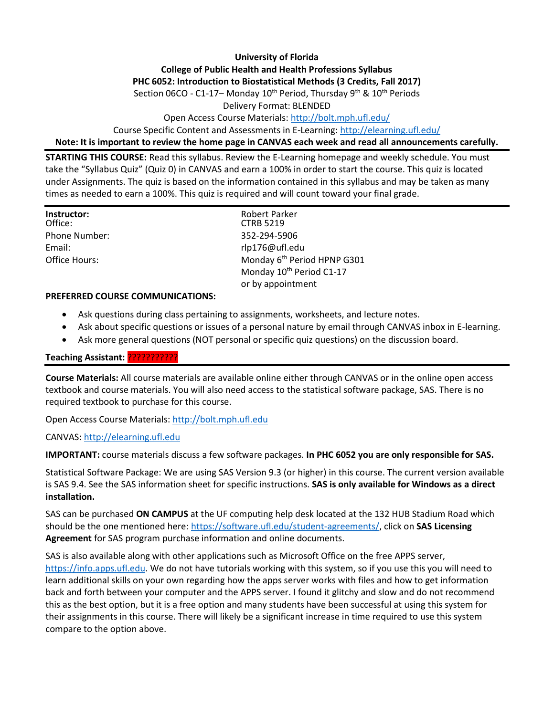## **University of Florida College of Public Health and Health Professions Syllabus PHC 6052: Introduction to Biostatistical Methods (3 Credits, Fall 2017)** Section 06CO - C1-17– Monday 10<sup>th</sup> Period, Thursday 9<sup>th</sup> & 10<sup>th</sup> Periods

Delivery Format: BLENDED

Open Access Course Materials:<http://bolt.mph.ufl.edu/>

Course Specific Content and Assessments in E-Learning:<http://elearning.ufl.edu/>

**Note: It is important to review the home page in CANVAS each week and read all announcements carefully.**

**STARTING THIS COURSE:** Read this syllabus. Review the E-Learning homepage and weekly schedule. You must take the "Syllabus Quiz" (Quiz 0) in CANVAS and earn a 100% in order to start the course. This quiz is located under Assignments. The quiz is based on the information contained in this syllabus and may be taken as many times as needed to earn a 100%. This quiz is required and will count toward your final grade.

| Instructor:          | <b>Robert Parker</b>                    |
|----------------------|-----------------------------------------|
| Office:              | <b>CTRB 5219</b>                        |
| <b>Phone Number:</b> | 352-294-5906                            |
| Email:               | rlp176@ufl.edu                          |
| Office Hours:        | Monday 6 <sup>th</sup> Period HPNP G301 |
|                      | Monday 10 <sup>th</sup> Period C1-17    |
|                      | or by appointment                       |

#### **PREFERRED COURSE COMMUNICATIONS:**

- Ask questions during class pertaining to assignments, worksheets, and lecture notes.
- Ask about specific questions or issues of a personal nature by email through CANVAS inbox in E-learning.
- Ask more general questions (NOT personal or specific quiz questions) on the discussion board.

#### **Teaching Assistant:** ???????????

**Course Materials:** All course materials are available online either through CANVAS or in the online open access textbook and course materials. You will also need access to the statistical software package, SAS. There is no required textbook to purchase for this course.

Open Access Course Materials[: http://bolt.mph.ufl.edu](http://bolt.mph.ufl.edu/)

#### CANVAS: [http://elearning.ufl.edu](http://elearning.ufl.edu/)

**IMPORTANT:** course materials discuss a few software packages. **In PHC 6052 you are only responsible for SAS.**

Statistical Software Package: We are using SAS Version 9.3 (or higher) in this course. The current version available is SAS 9.4. See the SAS information sheet for specific instructions. **SAS is only available for Windows as a direct installation.**

SAS can be purchased **ON CAMPUS** at the UF computing help desk located at the 132 HUB Stadium Road which should be the one mentioned here: [https://software.ufl.edu/student-agreements/,](https://software.ufl.edu/student-agreements/) click on **SAS Licensing Agreement** for SAS program purchase information and online documents.

SAS is also available along with other applications such as Microsoft Office on the free APPS server, [https://info.apps.ufl.edu.](https://info.apps.ufl.edu/) We do not have tutorials working with this system, so if you use this you will need to learn additional skills on your own regarding how the apps server works with files and how to get information back and forth between your computer and the APPS server. I found it glitchy and slow and do not recommend this as the best option, but it is a free option and many students have been successful at using this system for their assignments in this course. There will likely be a significant increase in time required to use this system compare to the option above.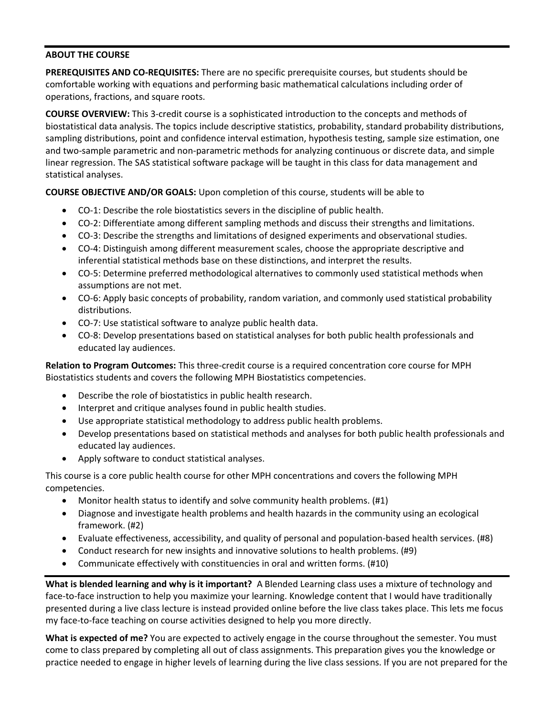#### **ABOUT THE COURSE**

**PREREQUISITES AND CO-REQUISITES:** There are no specific prerequisite courses, but students should be comfortable working with equations and performing basic mathematical calculations including order of operations, fractions, and square roots.

**COURSE OVERVIEW:** This 3-credit course is a sophisticated introduction to the concepts and methods of biostatistical data analysis. The topics include descriptive statistics, probability, standard probability distributions, sampling distributions, point and confidence interval estimation, hypothesis testing, sample size estimation, one and two-sample parametric and non-parametric methods for analyzing continuous or discrete data, and simple linear regression. The SAS statistical software package will be taught in this class for data management and statistical analyses.

**COURSE OBJECTIVE AND/OR GOALS:** Upon completion of this course, students will be able to

- CO-1: Describe the role biostatistics severs in the discipline of public health.
- CO-2: Differentiate among different sampling methods and discuss their strengths and limitations.
- CO-3: Describe the strengths and limitations of designed experiments and observational studies.
- CO-4: Distinguish among different measurement scales, choose the appropriate descriptive and inferential statistical methods base on these distinctions, and interpret the results.
- CO-5: Determine preferred methodological alternatives to commonly used statistical methods when assumptions are not met.
- CO-6: Apply basic concepts of probability, random variation, and commonly used statistical probability distributions.
- CO-7: Use statistical software to analyze public health data.
- CO-8: Develop presentations based on statistical analyses for both public health professionals and educated lay audiences.

**Relation to Program Outcomes:** This three-credit course is a required concentration core course for MPH Biostatistics students and covers the following MPH Biostatistics competencies.

- Describe the role of biostatistics in public health research.
- Interpret and critique analyses found in public health studies.
- Use appropriate statistical methodology to address public health problems.
- Develop presentations based on statistical methods and analyses for both public health professionals and educated lay audiences.
- Apply software to conduct statistical analyses.

This course is a core public health course for other MPH concentrations and covers the following MPH competencies.

- Monitor health status to identify and solve community health problems. (#1)
- Diagnose and investigate health problems and health hazards in the community using an ecological framework. (#2)
- Evaluate effectiveness, accessibility, and quality of personal and population-based health services. (#8)
- Conduct research for new insights and innovative solutions to health problems. (#9)
- Communicate effectively with constituencies in oral and written forms. (#10)

**What is blended learning and why is it important?** A Blended Learning class uses a mixture of technology and face-to-face instruction to help you maximize your learning. Knowledge content that I would have traditionally presented during a live class lecture is instead provided online before the live class takes place. This lets me focus my face-to-face teaching on course activities designed to help you more directly.

**What is expected of me?** You are expected to actively engage in the course throughout the semester. You must come to class prepared by completing all out of class assignments. This preparation gives you the knowledge or practice needed to engage in higher levels of learning during the live class sessions. If you are not prepared for the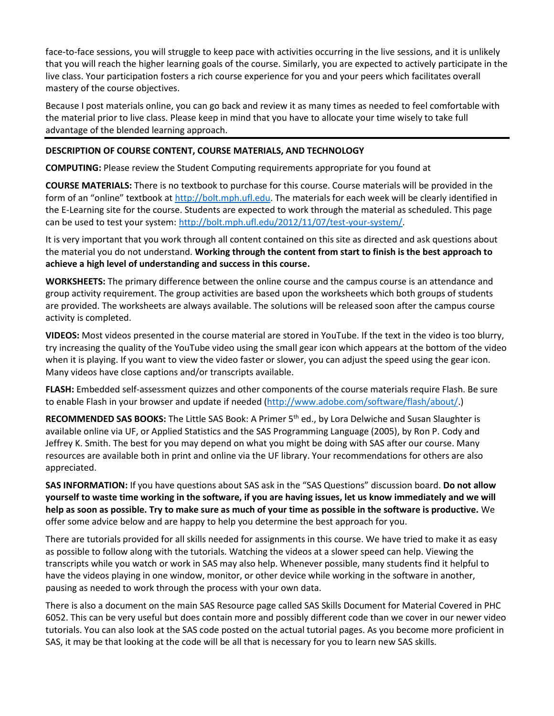face-to-face sessions, you will struggle to keep pace with activities occurring in the live sessions, and it is unlikely that you will reach the higher learning goals of the course. Similarly, you are expected to actively participate in the live class. Your participation fosters a rich course experience for you and your peers which facilitates overall mastery of the course objectives.

Because I post materials online, you can go back and review it as many times as needed to feel comfortable with the material prior to live class. Please keep in mind that you have to allocate your time wisely to take full advantage of the blended learning approach.

## **DESCRIPTION OF COURSE CONTENT, COURSE MATERIALS, AND TECHNOLOGY**

**COMPUTING:** Please review the Student Computing requirements appropriate for you found at

**COURSE MATERIALS:** There is no textbook to purchase for this course. Course materials will be provided in the form of an "online" textbook at [http://bolt.mph.ufl.edu.](http://bolt.mph.ufl.edu/) The materials for each week will be clearly identified in the E-Learning site for the course. Students are expected to work through the material as scheduled. This page can be used to test your system[: http://bolt.mph.ufl.edu/2012/11/07/test-your-system/.](http://bolt.mph.ufl.edu/2012/11/07/test-your-system/)

It is very important that you work through all content contained on this site as directed and ask questions about the material you do not understand. **Working through the content from start to finish is the best approach to achieve a high level of understanding and success in this course.**

**WORKSHEETS:** The primary difference between the online course and the campus course is an attendance and group activity requirement. The group activities are based upon the worksheets which both groups of students are provided. The worksheets are always available. The solutions will be released soon after the campus course activity is completed.

**VIDEOS:** Most videos presented in the course material are stored in YouTube. If the text in the video is too blurry, try increasing the quality of the YouTube video using the small gear icon which appears at the bottom of the video when it is playing. If you want to view the video faster or slower, you can adjust the speed using the gear icon. Many videos have close captions and/or transcripts available.

**FLASH:** Embedded self-assessment quizzes and other components of the course materials require Flash. Be sure to enable Flash in your browser and update if needed [\(http://www.adobe.com/software/flash/about/.](http://www.adobe.com/software/flash/about/))

**RECOMMENDED SAS BOOKS:** The Little SAS Book: A Primer 5th ed., by Lora Delwiche and Susan Slaughter is available online via UF, or Applied Statistics and the SAS Programming Language (2005), by Ron P. Cody and Jeffrey K. Smith. The best for you may depend on what you might be doing with SAS after our course. Many resources are available both in print and online via the UF library. Your recommendations for others are also appreciated.

**SAS INFORMATION:** If you have questions about SAS ask in the "SAS Questions" discussion board. **Do not allow yourself to waste time working in the software, if you are having issues, let us know immediately and we will help as soon as possible. Try to make sure as much of your time as possible in the software is productive.** We offer some advice below and are happy to help you determine the best approach for you.

There are tutorials provided for all skills needed for assignments in this course. We have tried to make it as easy as possible to follow along with the tutorials. Watching the videos at a slower speed can help. Viewing the transcripts while you watch or work in SAS may also help. Whenever possible, many students find it helpful to have the videos playing in one window, monitor, or other device while working in the software in another, pausing as needed to work through the process with your own data.

There is also a document on the main SAS Resource page called SAS Skills Document for Material Covered in PHC 6052. This can be very useful but does contain more and possibly different code than we cover in our newer video tutorials. You can also look at the SAS code posted on the actual tutorial pages. As you become more proficient in SAS, it may be that looking at the code will be all that is necessary for you to learn new SAS skills.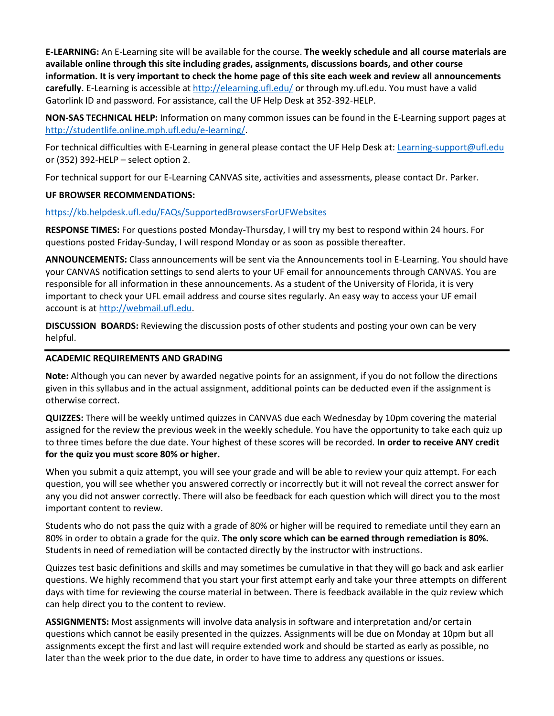**E-LEARNING:** An E-Learning site will be available for the course. **The weekly schedule and all course materials are available online through this site including grades, assignments, discussions boards, and other course information. It is very important to check the home page of this site each week and review all announcements carefully.** E-Learning is accessible at<http://elearning.ufl.edu/> or through my.ufl.edu. You must have a valid Gatorlink ID and password. For assistance, call the UF Help Desk at 352-392-HELP.

**NON-SAS TECHNICAL HELP:** Information on many common issues can be found in the E-Learning support pages at [http://studentlife.online.mph.ufl.edu/e-learning/.](http://studentlife.online.mph.ufl.edu/e-learning/)

For technical difficulties with E-Learning in general please contact the UF Help Desk at: [Learning-support@ufl.edu](mailto:Learning-support@ufl.edu) or (352) 392-HELP – select option 2.

For technical support for our E-Learning CANVAS site, activities and assessments, please contact Dr. Parker.

## **UF BROWSER RECOMMENDATIONS:**

<https://kb.helpdesk.ufl.edu/FAQs/SupportedBrowsersForUFWebsites>

**RESPONSE TIMES:** For questions posted Monday-Thursday, I will try my best to respond within 24 hours. For questions posted Friday-Sunday, I will respond Monday or as soon as possible thereafter.

**ANNOUNCEMENTS:** Class announcements will be sent via the Announcements tool in E-Learning. You should have your CANVAS notification settings to send alerts to your UF email for announcements through CANVAS. You are responsible for all information in these announcements. As a student of the University of Florida, it is very important to check your UFL email address and course sites regularly. An easy way to access your UF email account is at [http://webmail.ufl.edu.](http://webmail.ufl.edu/)

**DISCUSSION BOARDS:** Reviewing the discussion posts of other students and posting your own can be very helpful.

#### **ACADEMIC REQUIREMENTS AND GRADING**

**Note:** Although you can never by awarded negative points for an assignment, if you do not follow the directions given in this syllabus and in the actual assignment, additional points can be deducted even if the assignment is otherwise correct.

**QUIZZES:** There will be weekly untimed quizzes in CANVAS due each Wednesday by 10pm covering the material assigned for the review the previous week in the weekly schedule. You have the opportunity to take each quiz up to three times before the due date. Your highest of these scores will be recorded. **In order to receive ANY credit for the quiz you must score 80% or higher.**

When you submit a quiz attempt, you will see your grade and will be able to review your quiz attempt. For each question, you will see whether you answered correctly or incorrectly but it will not reveal the correct answer for any you did not answer correctly. There will also be feedback for each question which will direct you to the most important content to review.

Students who do not pass the quiz with a grade of 80% or higher will be required to remediate until they earn an 80% in order to obtain a grade for the quiz. **The only score which can be earned through remediation is 80%.** Students in need of remediation will be contacted directly by the instructor with instructions.

Quizzes test basic definitions and skills and may sometimes be cumulative in that they will go back and ask earlier questions. We highly recommend that you start your first attempt early and take your three attempts on different days with time for reviewing the course material in between. There is feedback available in the quiz review which can help direct you to the content to review.

**ASSIGNMENTS:** Most assignments will involve data analysis in software and interpretation and/or certain questions which cannot be easily presented in the quizzes. Assignments will be due on Monday at 10pm but all assignments except the first and last will require extended work and should be started as early as possible, no later than the week prior to the due date, in order to have time to address any questions or issues.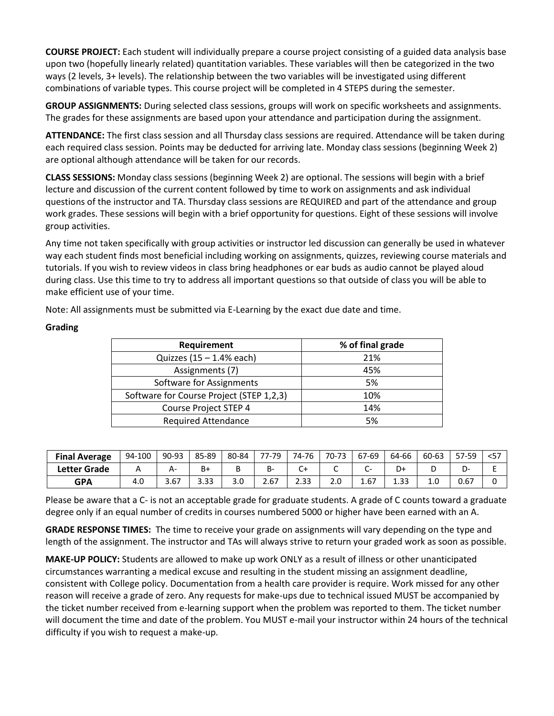**COURSE PROJECT:** Each student will individually prepare a course project consisting of a guided data analysis base upon two (hopefully linearly related) quantitation variables. These variables will then be categorized in the two ways (2 levels, 3+ levels). The relationship between the two variables will be investigated using different combinations of variable types. This course project will be completed in 4 STEPS during the semester.

**GROUP ASSIGNMENTS:** During selected class sessions, groups will work on specific worksheets and assignments. The grades for these assignments are based upon your attendance and participation during the assignment.

**ATTENDANCE:** The first class session and all Thursday class sessions are required. Attendance will be taken during each required class session. Points may be deducted for arriving late. Monday class sessions (beginning Week 2) are optional although attendance will be taken for our records.

**CLASS SESSIONS:** Monday class sessions (beginning Week 2) are optional. The sessions will begin with a brief lecture and discussion of the current content followed by time to work on assignments and ask individual questions of the instructor and TA. Thursday class sessions are REQUIRED and part of the attendance and group work grades. These sessions will begin with a brief opportunity for questions. Eight of these sessions will involve group activities.

Any time not taken specifically with group activities or instructor led discussion can generally be used in whatever way each student finds most beneficial including working on assignments, quizzes, reviewing course materials and tutorials. If you wish to review videos in class bring headphones or ear buds as audio cannot be played aloud during class. Use this time to try to address all important questions so that outside of class you will be able to make efficient use of your time.

Note: All assignments must be submitted via E-Learning by the exact due date and time.

| Requirement                              | % of final grade |
|------------------------------------------|------------------|
| Quizzes $(15 - 1.4\%$ each)              | 21%              |
| Assignments (7)                          | 45%              |
| Software for Assignments                 | 5%               |
| Software for Course Project (STEP 1,2,3) | 10%              |
| Course Project STEP 4                    | 14%              |
| <b>Required Attendance</b>               | 5%               |

## **Grading**

| <b>Final Average</b> | 94-100 | $90 - 93$ | 85-89 | 80-84 | 7-79<br>ララー | 74-76         | 70-73 | 67-69 | 64-66 | 60-63 | 57-59 | $57$ |
|----------------------|--------|-----------|-------|-------|-------------|---------------|-------|-------|-------|-------|-------|------|
| <b>Letter Grade</b>  |        | Α۰        | В+    | ັ     | в-          | ັ             |       | ∽     | D+    |       | -ب    |      |
| <b>GPA</b>           | 4.C    | 3.67      | 3.33  | J.U   | 2.67        | ว วว<br>د د.ء | z.u   | 1.67  | 1.33  | 1.U   | 0.67  |      |

Please be aware that a C- is not an acceptable grade for graduate students. A grade of C counts toward a graduate degree only if an equal number of credits in courses numbered 5000 or higher have been earned with an A.

**GRADE RESPONSE TIMES:** The time to receive your grade on assignments will vary depending on the type and length of the assignment. The instructor and TAs will always strive to return your graded work as soon as possible.

**MAKE-UP POLICY:** Students are allowed to make up work ONLY as a result of illness or other unanticipated circumstances warranting a medical excuse and resulting in the student missing an assignment deadline, consistent with College policy. Documentation from a health care provider is require. Work missed for any other reason will receive a grade of zero. Any requests for make-ups due to technical issued MUST be accompanied by the ticket number received from e-learning support when the problem was reported to them. The ticket number will document the time and date of the problem. You MUST e-mail your instructor within 24 hours of the technical difficulty if you wish to request a make-up.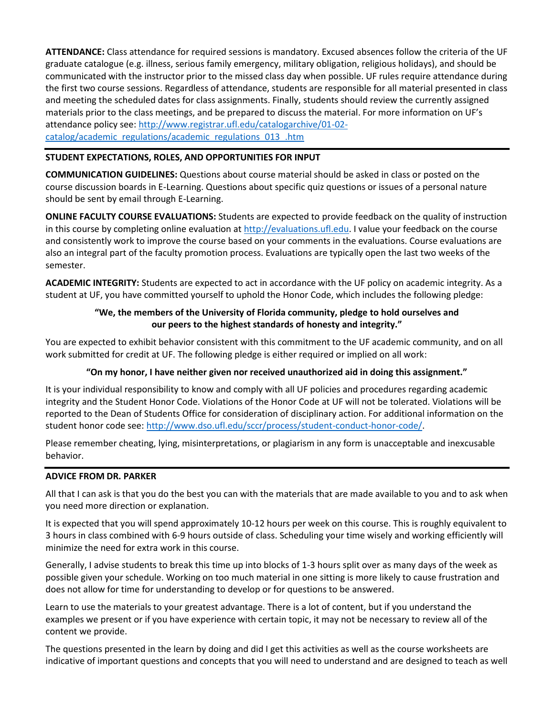**ATTENDANCE:** Class attendance for required sessions is mandatory. Excused absences follow the criteria of the UF graduate catalogue (e.g. illness, serious family emergency, military obligation, religious holidays), and should be communicated with the instructor prior to the missed class day when possible. UF rules require attendance during the first two course sessions. Regardless of attendance, students are responsible for all material presented in class and meeting the scheduled dates for class assignments. Finally, students should review the currently assigned materials prior to the class meetings, and be prepared to discuss the material. For more information on UF's attendance policy see: [http://www.registrar.ufl.edu/catalogarchive/01-02](http://www.registrar.ufl.edu/catalogarchive/01-02-catalog/academic_regulations/academic_regulations_013_.htm) [catalog/academic\\_regulations/academic\\_regulations\\_013\\_.htm](http://www.registrar.ufl.edu/catalogarchive/01-02-catalog/academic_regulations/academic_regulations_013_.htm)

## **STUDENT EXPECTATIONS, ROLES, AND OPPORTUNITIES FOR INPUT**

**COMMUNICATION GUIDELINES:** Questions about course material should be asked in class or posted on the course discussion boards in E-Learning. Questions about specific quiz questions or issues of a personal nature should be sent by email through E-Learning.

**ONLINE FACULTY COURSE EVALUATIONS:** Students are expected to provide feedback on the quality of instruction in this course by completing online evaluation a[t http://evaluations.ufl.edu.](http://evaluations.ufl.edu/) I value your feedback on the course and consistently work to improve the course based on your comments in the evaluations. Course evaluations are also an integral part of the faculty promotion process. Evaluations are typically open the last two weeks of the semester.

**ACADEMIC INTEGRITY:** Students are expected to act in accordance with the UF policy on academic integrity. As a student at UF, you have committed yourself to uphold the Honor Code, which includes the following pledge:

## **"We, the members of the University of Florida community, pledge to hold ourselves and our peers to the highest standards of honesty and integrity."**

You are expected to exhibit behavior consistent with this commitment to the UF academic community, and on all work submitted for credit at UF. The following pledge is either required or implied on all work:

## **"On my honor, I have neither given nor received unauthorized aid in doing this assignment."**

It is your individual responsibility to know and comply with all UF policies and procedures regarding academic integrity and the Student Honor Code. Violations of the Honor Code at UF will not be tolerated. Violations will be reported to the Dean of Students Office for consideration of disciplinary action. For additional information on the student honor code see[: http://www.dso.ufl.edu/sccr/process/student-conduct-honor-code/.](http://www.dso.ufl.edu/sccr/process/student-conduct-honor-code/)

Please remember cheating, lying, misinterpretations, or plagiarism in any form is unacceptable and inexcusable behavior.

#### **ADVICE FROM DR. PARKER**

All that I can ask is that you do the best you can with the materials that are made available to you and to ask when you need more direction or explanation.

It is expected that you will spend approximately 10-12 hours per week on this course. This is roughly equivalent to 3 hours in class combined with 6-9 hours outside of class. Scheduling your time wisely and working efficiently will minimize the need for extra work in this course.

Generally, I advise students to break this time up into blocks of 1-3 hours split over as many days of the week as possible given your schedule. Working on too much material in one sitting is more likely to cause frustration and does not allow for time for understanding to develop or for questions to be answered.

Learn to use the materials to your greatest advantage. There is a lot of content, but if you understand the examples we present or if you have experience with certain topic, it may not be necessary to review all of the content we provide.

The questions presented in the learn by doing and did I get this activities as well as the course worksheets are indicative of important questions and concepts that you will need to understand and are designed to teach as well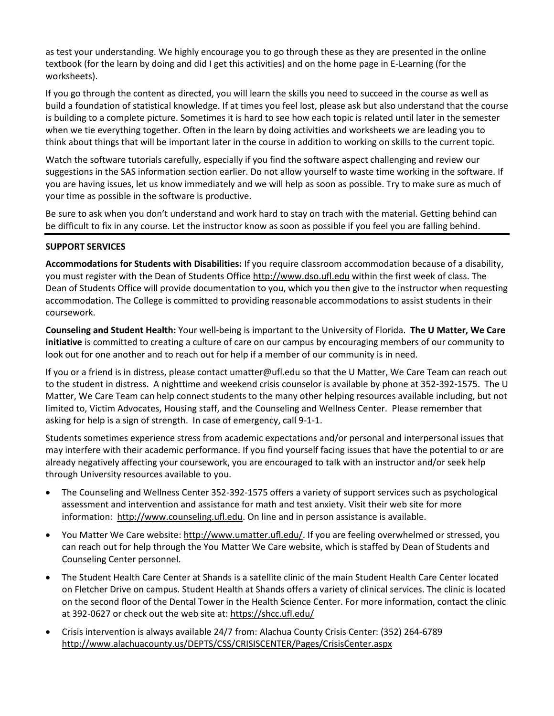as test your understanding. We highly encourage you to go through these as they are presented in the online textbook (for the learn by doing and did I get this activities) and on the home page in E-Learning (for the worksheets).

If you go through the content as directed, you will learn the skills you need to succeed in the course as well as build a foundation of statistical knowledge. If at times you feel lost, please ask but also understand that the course is building to a complete picture. Sometimes it is hard to see how each topic is related until later in the semester when we tie everything together. Often in the learn by doing activities and worksheets we are leading you to think about things that will be important later in the course in addition to working on skills to the current topic.

Watch the software tutorials carefully, especially if you find the software aspect challenging and review our suggestions in the SAS information section earlier. Do not allow yourself to waste time working in the software. If you are having issues, let us know immediately and we will help as soon as possible. Try to make sure as much of your time as possible in the software is productive.

Be sure to ask when you don't understand and work hard to stay on trach with the material. Getting behind can be difficult to fix in any course. Let the instructor know as soon as possible if you feel you are falling behind.

## **SUPPORT SERVICES**

**Accommodations for Students with Disabilities:** If you require classroom accommodation because of a disability, you must register with the Dean of Students Offic[e http://www.dso.ufl.edu](http://www.dso.ufl.edu/) within the first week of class. The Dean of Students Office will provide documentation to you, which you then give to the instructor when requesting accommodation. The College is committed to providing reasonable accommodations to assist students in their coursework.

**Counseling and Student Health:** Your well-being is important to the University of Florida. **The U Matter, We Care initiative** is committed to creating a culture of care on our campus by encouraging members of our community to look out for one another and to reach out for help if a member of our community is in need.

If you or a friend is in distress, please contact umatter@ufl.edu so that the U Matter, We Care Team can reach out to the student in distress. A nighttime and weekend crisis counselor is available by phone at 352-392-1575. The U Matter, We Care Team can help connect students to the many other helping resources available including, but not limited to, Victim Advocates, Housing staff, and the Counseling and Wellness Center. Please remember that asking for help is a sign of strength. In case of emergency, call 9-1-1.

Students sometimes experience stress from academic expectations and/or personal and interpersonal issues that may interfere with their academic performance. If you find yourself facing issues that have the potential to or are already negatively affecting your coursework, you are encouraged to talk with an instructor and/or seek help through University resources available to you.

- The Counseling and Wellness Center 352-392-1575 offers a variety of support services such as psychological assessment and intervention and assistance for math and test anxiety. Visit their web site for more information: [http://www.counseling.ufl.edu.](http://www.counseling.ufl.edu/) On line and in person assistance is available.
- You Matter We Care website: [http://www.umatter.ufl.edu/.](http://www.umatter.ufl.edu/) If you are feeling overwhelmed or stressed, you can reach out for help through the You Matter We Care website, which is staffed by Dean of Students and Counseling Center personnel.
- The Student Health Care Center at Shands is a satellite clinic of the main Student Health Care Center located on Fletcher Drive on campus. Student Health at Shands offers a variety of clinical services. The clinic is located on the second floor of the Dental Tower in the Health Science Center. For more information, contact the clinic at 392-0627 or check out the web site at: <https://shcc.ufl.edu/>
- Crisis intervention is always available 24/7 from: Alachua County Crisis Center: (352) 264-6789 <http://www.alachuacounty.us/DEPTS/CSS/CRISISCENTER/Pages/CrisisCenter.aspx>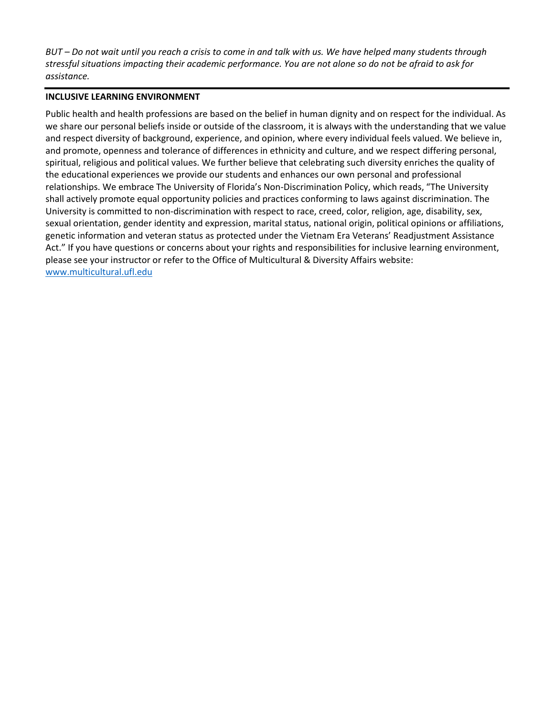*BUT – Do not wait until you reach a crisis to come in and talk with us. We have helped many students through stressful situations impacting their academic performance. You are not alone so do not be afraid to ask for assistance.*

#### **INCLUSIVE LEARNING ENVIRONMENT**

Public health and health professions are based on the belief in human dignity and on respect for the individual. As we share our personal beliefs inside or outside of the classroom, it is always with the understanding that we value and respect diversity of background, experience, and opinion, where every individual feels valued. We believe in, and promote, openness and tolerance of differences in ethnicity and culture, and we respect differing personal, spiritual, religious and political values. We further believe that celebrating such diversity enriches the quality of the educational experiences we provide our students and enhances our own personal and professional relationships. We embrace The University of Florida's Non-Discrimination Policy, which reads, "The University shall actively promote equal opportunity policies and practices conforming to laws against discrimination. The University is committed to non-discrimination with respect to race, creed, color, religion, age, disability, sex, sexual orientation, gender identity and expression, marital status, national origin, political opinions or affiliations, genetic information and veteran status as protected under the Vietnam Era Veterans' Readjustment Assistance Act." If you have questions or concerns about your rights and responsibilities for inclusive learning environment, please see your instructor or refer to the Office of Multicultural & Diversity Affairs website: [www.multicultural.ufl.edu](http://www.multicultural.ufl.edu/)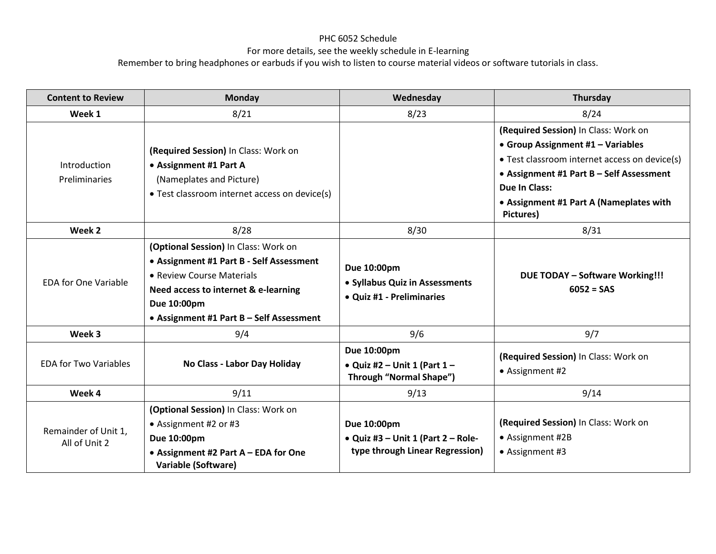# PHC 6052 Schedule

## For more details, see the weekly schedule in E-learning

Remember to bring headphones or earbuds if you wish to listen to course material videos or software tutorials in class.

| <b>Content to Review</b>              | <b>Monday</b>                                                                                                                                                                                                    | Wednesday                                                                              | Thursday                                                                                                                                                                                                                                               |
|---------------------------------------|------------------------------------------------------------------------------------------------------------------------------------------------------------------------------------------------------------------|----------------------------------------------------------------------------------------|--------------------------------------------------------------------------------------------------------------------------------------------------------------------------------------------------------------------------------------------------------|
| Week 1                                | 8/21                                                                                                                                                                                                             | 8/23                                                                                   | 8/24                                                                                                                                                                                                                                                   |
| Introduction<br><b>Preliminaries</b>  | (Required Session) In Class: Work on<br>• Assignment #1 Part A<br>(Nameplates and Picture)<br>• Test classroom internet access on device(s)                                                                      |                                                                                        | (Required Session) In Class: Work on<br>• Group Assignment #1 - Variables<br>• Test classroom internet access on device(s)<br>• Assignment #1 Part B - Self Assessment<br><b>Due In Class:</b><br>• Assignment #1 Part A (Nameplates with<br>Pictures) |
| Week 2                                | 8/28                                                                                                                                                                                                             | 8/30                                                                                   | 8/31                                                                                                                                                                                                                                                   |
| <b>EDA for One Variable</b>           | (Optional Session) In Class: Work on<br>• Assignment #1 Part B - Self Assessment<br>• Review Course Materials<br>Need access to internet & e-learning<br>Due 10:00pm<br>• Assignment #1 Part B - Self Assessment | Due 10:00pm<br>• Syllabus Quiz in Assessments<br>• Quiz #1 - Preliminaries             | <b>DUE TODAY - Software Working!!!</b><br>$6052 = SAS$                                                                                                                                                                                                 |
| Week 3                                | 9/4                                                                                                                                                                                                              | 9/6                                                                                    | 9/7                                                                                                                                                                                                                                                    |
| <b>EDA for Two Variables</b>          | No Class - Labor Day Holiday                                                                                                                                                                                     | Due 10:00pm<br>• Quiz #2 - Unit 1 (Part $1$ -<br><b>Through "Normal Shape")</b>        | (Required Session) In Class: Work on<br>• Assignment #2                                                                                                                                                                                                |
| Week 4                                | 9/11                                                                                                                                                                                                             | 9/13                                                                                   | 9/14                                                                                                                                                                                                                                                   |
| Remainder of Unit 1,<br>All of Unit 2 | (Optional Session) In Class: Work on<br>• Assignment #2 or #3<br>Due 10:00pm<br>• Assignment #2 Part A - EDA for One<br><b>Variable (Software)</b>                                                               | Due 10:00pm<br>• Quiz #3 – Unit 1 (Part $2$ – Role-<br>type through Linear Regression) | (Required Session) In Class: Work on<br>• Assignment #2B<br>• Assignment #3                                                                                                                                                                            |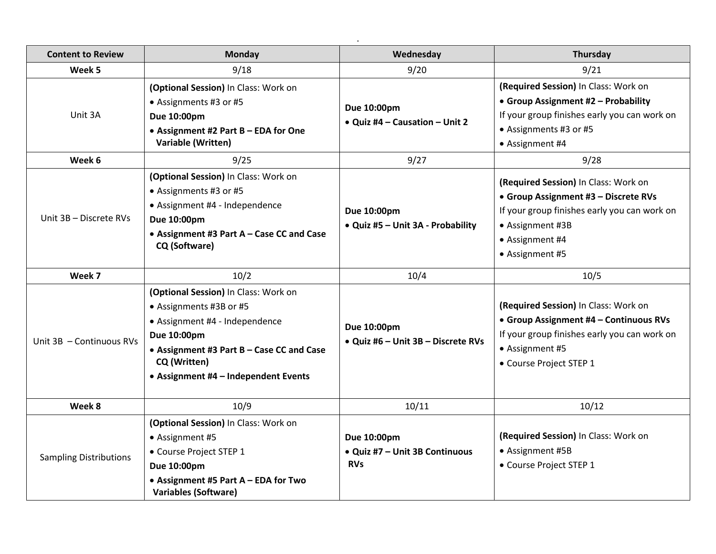| <b>Content to Review</b>                    | <b>Monday</b>                                                                                                                                                                                                                                                                                                                        | Wednesday                                                                                                 | Thursday                                                                                                                                                                                                                                                                                                                                                |
|---------------------------------------------|--------------------------------------------------------------------------------------------------------------------------------------------------------------------------------------------------------------------------------------------------------------------------------------------------------------------------------------|-----------------------------------------------------------------------------------------------------------|---------------------------------------------------------------------------------------------------------------------------------------------------------------------------------------------------------------------------------------------------------------------------------------------------------------------------------------------------------|
| Week 5                                      | 9/18                                                                                                                                                                                                                                                                                                                                 | 9/20                                                                                                      | 9/21                                                                                                                                                                                                                                                                                                                                                    |
| Unit 3A<br>Week 6<br>Unit 3B - Discrete RVs | (Optional Session) In Class: Work on<br>• Assignments #3 or #5<br>Due 10:00pm<br>• Assignment #2 Part B - EDA for One<br>Variable (Written)<br>9/25<br>(Optional Session) In Class: Work on<br>• Assignments #3 or #5<br>• Assignment #4 - Independence<br>Due 10:00pm<br>• Assignment #3 Part A - Case CC and Case<br>CQ (Software) | Due 10:00pm<br>• Quiz #4 - Causation - Unit 2<br>9/27<br>Due 10:00pm<br>• Quiz #5 - Unit 3A - Probability | (Required Session) In Class: Work on<br>• Group Assignment #2 - Probability<br>If your group finishes early you can work on<br>• Assignments #3 or #5<br>• Assignment #4<br>9/28<br>(Required Session) In Class: Work on<br>• Group Assignment #3 - Discrete RVs<br>If your group finishes early you can work on<br>• Assignment #3B<br>• Assignment #4 |
| Week 7                                      | 10/2                                                                                                                                                                                                                                                                                                                                 | 10/4                                                                                                      | • Assignment #5<br>10/5                                                                                                                                                                                                                                                                                                                                 |
| Unit 3B - Continuous RVs                    | (Optional Session) In Class: Work on<br>• Assignments #3B or #5<br>• Assignment #4 - Independence<br>Due 10:00pm<br>• Assignment #3 Part B - Case CC and Case<br>CQ (Written)<br>• Assignment #4 - Independent Events                                                                                                                | Due 10:00pm<br>• Quiz #6 - Unit 3B - Discrete RVs                                                         | (Required Session) In Class: Work on<br>• Group Assignment #4 - Continuous RVs<br>If your group finishes early you can work on<br>• Assignment #5<br>• Course Project STEP 1                                                                                                                                                                            |
| Week 8                                      | 10/9                                                                                                                                                                                                                                                                                                                                 | 10/11                                                                                                     | 10/12                                                                                                                                                                                                                                                                                                                                                   |
| <b>Sampling Distributions</b>               | (Optional Session) In Class: Work on<br>• Assignment #5<br>• Course Project STEP 1<br>Due 10:00pm<br>• Assignment #5 Part A - EDA for Two<br><b>Variables (Software)</b>                                                                                                                                                             | Due 10:00pm<br>• Quiz #7 - Unit 3B Continuous<br><b>RVs</b>                                               | (Required Session) In Class: Work on<br>• Assignment #5B<br>• Course Project STEP 1                                                                                                                                                                                                                                                                     |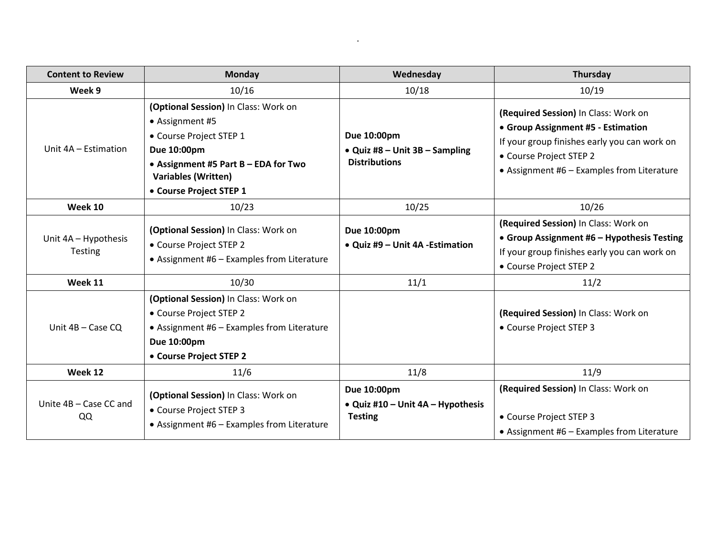| <b>Content to Review</b>               | Monday                                                                                                                                                                                             | Wednesday                                                               | Thursday                                                                                                                                                                                            |
|----------------------------------------|----------------------------------------------------------------------------------------------------------------------------------------------------------------------------------------------------|-------------------------------------------------------------------------|-----------------------------------------------------------------------------------------------------------------------------------------------------------------------------------------------------|
| Week 9                                 | 10/16                                                                                                                                                                                              | 10/18                                                                   | 10/19                                                                                                                                                                                               |
| Unit 4A - Estimation                   | (Optional Session) In Class: Work on<br>• Assignment #5<br>• Course Project STEP 1<br>Due 10:00pm<br>• Assignment #5 Part B - EDA for Two<br><b>Variables (Written)</b><br>• Course Project STEP 1 | Due 10:00pm<br>• Quiz #8 – Unit $3B$ – Sampling<br><b>Distributions</b> | (Required Session) In Class: Work on<br>• Group Assignment #5 - Estimation<br>If your group finishes early you can work on<br>• Course Project STEP 2<br>• Assignment #6 - Examples from Literature |
| Week 10                                | 10/23                                                                                                                                                                                              | 10/25                                                                   | 10/26                                                                                                                                                                                               |
| Unit 4A - Hypothesis<br><b>Testing</b> | (Optional Session) In Class: Work on<br>• Course Project STEP 2<br>• Assignment #6 - Examples from Literature                                                                                      | Due 10:00pm<br>• Quiz #9 - Unit 4A - Estimation                         | (Required Session) In Class: Work on<br>• Group Assignment #6 - Hypothesis Testing<br>If your group finishes early you can work on<br>• Course Project STEP 2                                       |
| Week 11                                | 10/30                                                                                                                                                                                              | 11/1                                                                    | 11/2                                                                                                                                                                                                |
| Unit 4B - Case CQ                      | (Optional Session) In Class: Work on<br>• Course Project STEP 2<br>• Assignment #6 - Examples from Literature<br>Due 10:00pm<br>• Course Project STEP 2                                            |                                                                         | (Required Session) In Class: Work on<br>• Course Project STEP 3                                                                                                                                     |
| Week 12                                | 11/6                                                                                                                                                                                               | 11/8                                                                    | 11/9                                                                                                                                                                                                |
| Unite 4B - Case CC and<br>QQ           | (Optional Session) In Class: Work on<br>• Course Project STEP 3<br>• Assignment #6 - Examples from Literature                                                                                      | Due 10:00pm<br>• Quiz #10 - Unit 4A - Hypothesis<br><b>Testing</b>      | (Required Session) In Class: Work on<br>• Course Project STEP 3<br>• Assignment #6 - Examples from Literature                                                                                       |

and the state of the state of the